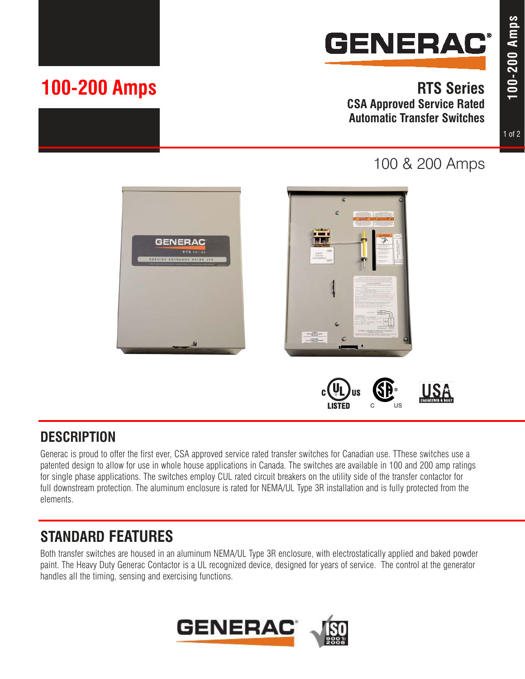

## **RTS Series CSA Approved Service Rated Automatic Transfer Switches**

**100-200 Amps**

100-200 Amps



# 100 & 200 Amps



## **DESCRIPTION**

Generac is proud to offer the first ever, CSA approved service rated transfer switches for Canadian use. TThese switches use a patented design to allow for use in whole house applications in Canada. The switches are available in 100 and 200 amp ratings for single phase applications. The switches employ CUL rated circuit breakers on the utility side of the transfer contactor for full downstream protection. The aluminum enclosure is rated for NEMA/UL Type 3R installation and is fully protected from the elements.

# **STANDARD FEATURES**

Both transfer switches are housed in an aluminum NEMA/UL Type 3R enclosure, with electrostatically applied and baked powder paint. The Heavy Duty Generac Contactor is a UL recognized device, designed for years of service. The control at the generator handles all the timing, sensing and exercising functions.